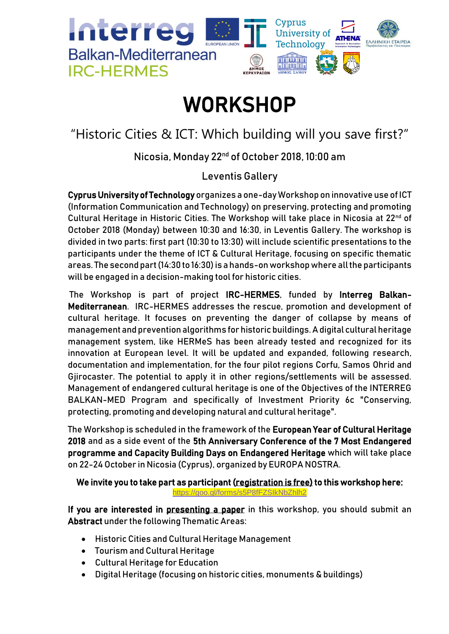

# **WORKSHOP**

# "Historic Cities & ICT: Which building will you save first?"

Nicosia, Monday 22nd of October 2018, 10:00 am

Leventis Gallery

Cyprus University of Technology organizes a one-day Workshop on innovative use of ICT (Information Communication and Technology) on preserving, protecting and promoting Cultural Heritage in Historic Cities. The Workshop will take place in Nicosia at 22<sup>nd</sup> of October 2018 (Monday) between 10:30 and 16:30, in Leventis Gallery. The workshop is divided in two parts: first part (10:30 to 13:30) will include scientific presentations to the participants under the theme of ICT & Cultural Heritage, focusing on specific thematic areas. The second part (14:30 to 16:30) is a hands-on workshop where all the participants will be engaged in a decision-making tool for historic cities.

The Workshop is part of project IRC-HERMES, funded by Interreg Balkan-Mediterranean. IRC-HERMES addresses the rescue, promotion and development of cultural heritage. It focuses on preventing the danger of collapse by means of management and prevention algorithms for historic buildings. A digital cultural heritage management system, like HERMeS has been already tested and recognized for its innovation at European level. It will be updated and expanded, following research, documentation and implementation, for the four pilot regions Corfu, Samos Ohrid and Gjirocaster. The potential to apply it in other regions/settlements will be assessed. Management of endangered cultural heritage is one of the Objectives of the INTERREG BALKAN-MED Program and specifically of Investment Priority 6c "Conserving, protecting, promoting and developing natural and cultural heritage".

The Workshop is scheduled in the framework of the European Year of Cultural Heritage 2018 and as a side event of the 5th Anniversary Conference of the 7 Most Endangered programme and Capacity Building Days on Endangered Heritage which will take place on 22-24 October in Nicosia (Cyprus), organized by EUROPA NOSTRA.

## We invite you to take part as participant (registration is free) to this workshop here: <https://goo.gl/forms/s5P8fFZSIkNbZhlh2>

If you are interested in presenting a paper in this workshop, you should submit an Abstract under the following Thematic Areas:

- Historic Cities and Cultural Heritage Management
- Tourism and Cultural Heritage
- Cultural Heritage for Education
- Digital Heritage (focusing on historic cities, monuments & buildings)